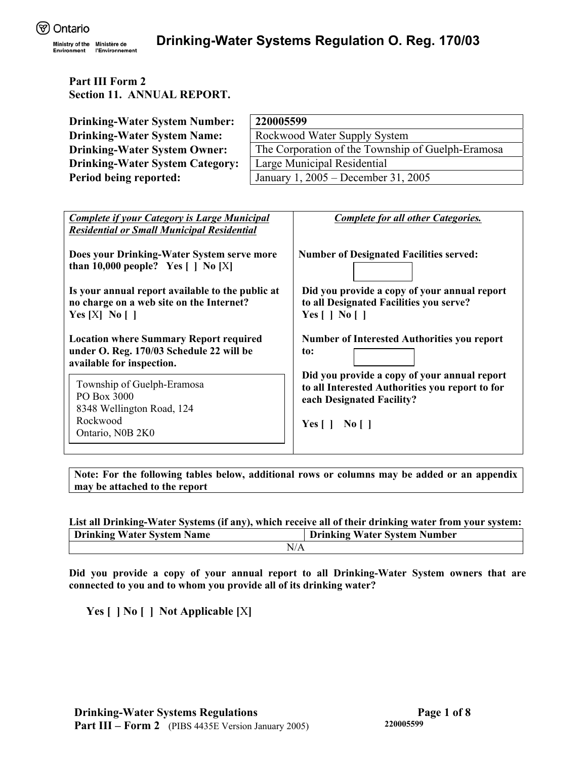Environment

# **Part III Form 2 Section 11. ANNUAL REPORT.**

| <b>Drinking-Water System Number:</b>   | 220005599                                         |
|----------------------------------------|---------------------------------------------------|
| <b>Drinking-Water System Name:</b>     | Rockwood Water Supply System                      |
| <b>Drinking-Water System Owner:</b>    | The Corporation of the Township of Guelph-Eramosa |
| <b>Drinking-Water System Category:</b> | Large Municipal Residential                       |
| Period being reported:                 | January 1, 2005 – December 31, 2005               |

| <b>Complete for all other Categories.</b>                                                                                                                    |
|--------------------------------------------------------------------------------------------------------------------------------------------------------------|
| <b>Number of Designated Facilities served:</b>                                                                                                               |
| Did you provide a copy of your annual report<br>to all Designated Facilities you serve?<br>Yes $\lceil$   No $\lceil$                                        |
| <b>Number of Interested Authorities you report</b><br>to:                                                                                                    |
| Did you provide a copy of your annual report<br>to all Interested Authorities you report to for<br>each Designated Facility?<br>$Yes \mid \mid No \mid \mid$ |
|                                                                                                                                                              |

**Note: For the following tables below, additional rows or columns may be added or an appendix may be attached to the report** 

| List all Drinking-Water Systems (if any), which receive all of their drinking water from your system: |  |  |  |  |  |  |  |
|-------------------------------------------------------------------------------------------------------|--|--|--|--|--|--|--|
| <b>Drinking Water System Name</b><br><b>Drinking Water System Number</b>                              |  |  |  |  |  |  |  |
| N/A                                                                                                   |  |  |  |  |  |  |  |

**Did you provide a copy of your annual report to all Drinking-Water System owners that are connected to you and to whom you provide all of its drinking water?** 

**Yes [ ] No [ ] Not Applicable [**X**]**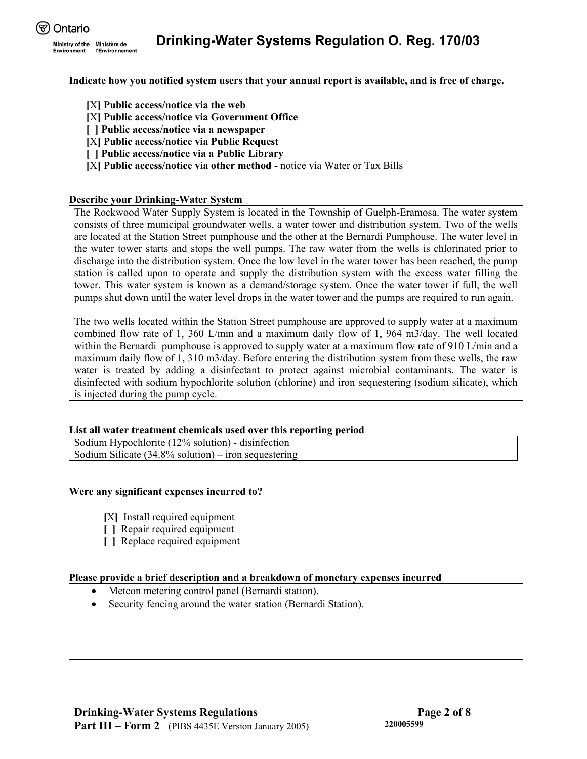

**Indicate how you notified system users that your annual report is available, and is free of charge.** 

- **[**X**] Public access/notice via the web**
- **[**X**] Public access/notice via Government Office**
- **[ ] Public access/notice via a newspaper**
- **[**X**] Public access/notice via Public Request**
- **[ ] Public access/notice via a Public Library**
- **[**X**] Public access/notice via other method** notice via Water or Tax Bills

# **Describe your Drinking-Water System**

The Rockwood Water Supply System is located in the Township of Guelph-Eramosa. The water system consists of three municipal groundwater wells, a water tower and distribution system. Two of the wells are located at the Station Street pumphouse and the other at the Bernardi Pumphouse. The water level in the water tower starts and stops the well pumps. The raw water from the wells is chlorinated prior to discharge into the distribution system. Once the low level in the water tower has been reached, the pump station is called upon to operate and supply the distribution system with the excess water filling the tower. This water system is known as a demand/storage system. Once the water tower if full, the well pumps shut down until the water level drops in the water tower and the pumps are required to run again.

The two wells located within the Station Street pumphouse are approved to supply water at a maximum combined flow rate of 1, 360 L/min and a maximum daily flow of 1, 964 m3/day. The well located within the Bernardi pumphouse is approved to supply water at a maximum flow rate of 910 L/min and a maximum daily flow of 1, 310 m3/day. Before entering the distribution system from these wells, the raw water is treated by adding a disinfectant to protect against microbial contaminants. The water is disinfected with sodium hypochlorite solution (chlorine) and iron sequestering (sodium silicate), which is injected during the pump cycle.

## **List all water treatment chemicals used over this reporting period**

Sodium Hypochlorite (12% solution) - disinfection Sodium Silicate (34.8% solution) – iron sequestering

## **Were any significant expenses incurred to?**

- **[**X**]** Install required equipment
- **[ ]** Repair required equipment
- **[ ]** Replace required equipment

## **Please provide a brief description and a breakdown of monetary expenses incurred**

- Metcon metering control panel (Bernardi station).
- Security fencing around the water station (Bernardi Station).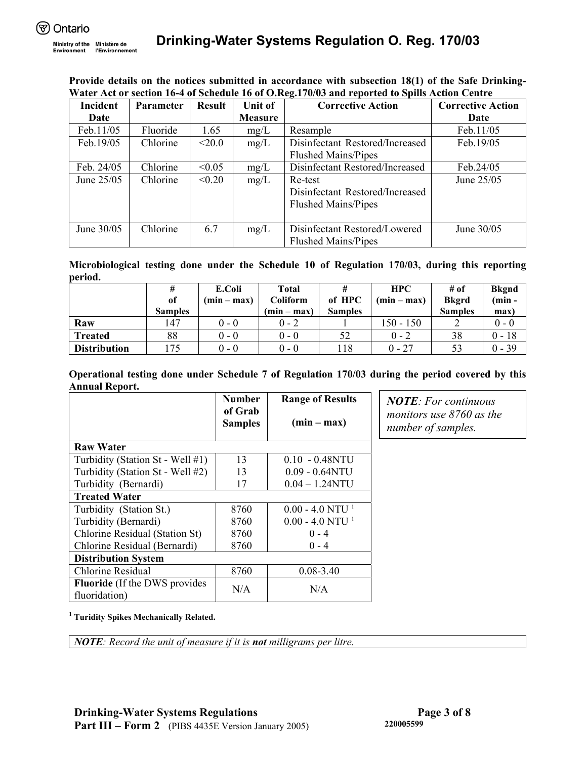Environment

**Provide details on the notices submitted in accordance with subsection 18(1) of the Safe Drinking-Water Act or section 16-4 of Schedule 16 of O.Reg.170/03 and reported to Spills Action Centre** 

| Incident     | <b>Parameter</b> | <b>Result</b> | Unit of        | <b>Corrective Action</b>        | <b>Corrective Action</b> |
|--------------|------------------|---------------|----------------|---------------------------------|--------------------------|
| Date         |                  |               | <b>Measure</b> |                                 | Date                     |
| Feb.11/05    | Fluoride         | 1.65          | mg/L           | Resample                        | Feb.11/05                |
| Feb.19/05    | Chlorine         | $<$ 20.0      | mg/L           | Disinfectant Restored/Increased | Feb.19/05                |
|              |                  |               |                | <b>Flushed Mains/Pipes</b>      |                          |
| Feb. 24/05   | Chlorine         | < 0.05        | mg/L           | Disinfectant Restored/Increased | Feb.24/05                |
| June $25/05$ | Chlorine         | < 0.20        | mg/L           | Re-test                         | June $25/05$             |
|              |                  |               |                | Disinfectant Restored/Increased |                          |
|              |                  |               |                | <b>Flushed Mains/Pipes</b>      |                          |
|              |                  |               |                |                                 |                          |
| June 30/05   | Chlorine         | 6.7           | mg/L           | Disinfectant Restored/Lowered   | June 30/05               |
|              |                  |               |                | <b>Flushed Mains/Pipes</b>      |                          |

**Microbiological testing done under the Schedule 10 of Regulation 170/03, during this reporting period.**

|                     | #<br>of<br><b>Samples</b> | E.Coli<br>$(min - max)$ | Total<br>Coliform<br>$(min - max)$ | of HPC<br><b>Samples</b> | <b>HPC</b><br>$(min - max)$ | # of<br><b>Bkgrd</b><br><b>Samples</b> | <b>Bkgnd</b><br>$(min -$<br>max) |
|---------------------|---------------------------|-------------------------|------------------------------------|--------------------------|-----------------------------|----------------------------------------|----------------------------------|
| Raw                 | 147                       | $0 - 0$                 | $0 - 2$                            |                          | $150 - 150$                 |                                        | $0 - 0$                          |
| <b>Treated</b>      | 88                        | $0 - 0$                 | $0 - 0$                            |                          | $0 - 2$                     | 38                                     | $0 - 18$                         |
| <b>Distribution</b> |                           | $0 - 0$                 | $0 - 0$                            | . 18                     | $0 - 27$                    | 53                                     | $0 - 39$                         |

**Operational testing done under Schedule 7 of Regulation 170/03 during the period covered by this Annual Report.** 

|                                                        | <b>Number</b><br>of Grab<br><b>Samples</b> | <b>Range of Results</b><br>$(min - max)$ |
|--------------------------------------------------------|--------------------------------------------|------------------------------------------|
| <b>Raw Water</b>                                       |                                            |                                          |
| Turbidity (Station St - Well #1)                       | 13                                         | $0.10 - 0.48$ NTU                        |
| Turbidity (Station St - Well #2)                       | 13                                         | $0.09 - 0.64NTU$                         |
| Turbidity (Bernardi)                                   | 17                                         | $0.04 - 1.24$ NTU                        |
| <b>Treated Water</b>                                   |                                            |                                          |
| Turbidity (Station St.)                                | 8760                                       | $0.00 - 4.0$ NTU <sup>1</sup>            |
| Turbidity (Bernardi)                                   | 8760                                       | $0.00 - 4.0$ NTU <sup>1</sup>            |
| Chlorine Residual (Station St)                         | 8760                                       | $0 - 4$                                  |
| Chlorine Residual (Bernardi)                           | 8760                                       | $0 - 4$                                  |
| <b>Distribution System</b>                             |                                            |                                          |
| Chlorine Residual                                      | 8760                                       | $0.08 - 3.40$                            |
| <b>Fluoride</b> (If the DWS provides)<br>fluoridation) | N/A                                        | N/A                                      |

*NOTE: For continuous monitors use 8760 as the number of samples.* 

**1 Turidity Spikes Mechanically Related.**

*NOTE: Record the unit of measure if it is not milligrams per litre.*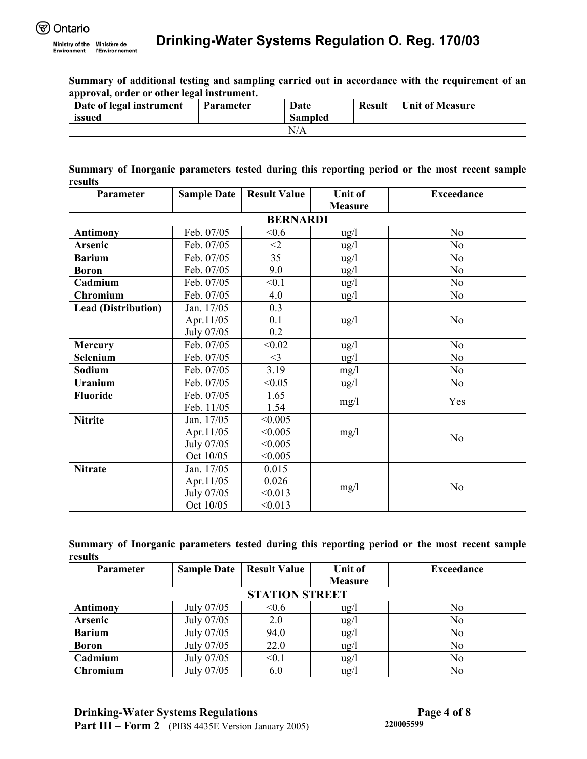**Summary of additional testing and sampling carried out in accordance with the requirement of an approval, order or other legal instrument.** 

| Date of legal instrument | <b>Parameter</b> | Date           | <b>Result</b> | <b>Unit of Measure</b> |
|--------------------------|------------------|----------------|---------------|------------------------|
| issued                   |                  | <b>Sampled</b> |               |                        |
|                          |                  | N/A            |               |                        |

**Summary of Inorganic parameters tested during this reporting period or the most recent sample results** 

| Parameter                  | <b>Sample Date</b> | <b>Result Value</b> | <b>Unit of</b>  | <b>Exceedance</b> |
|----------------------------|--------------------|---------------------|-----------------|-------------------|
|                            |                    |                     | <b>Measure</b>  |                   |
|                            |                    | <b>BERNARDI</b>     |                 |                   |
| <b>Antimony</b>            | Feb. 07/05         | < 0.6               | $\frac{u g}{l}$ | N <sub>0</sub>    |
| <b>Arsenic</b>             | Feb. 07/05         | $<$ 2               | $\frac{u g}{l}$ | N <sub>o</sub>    |
| <b>Barium</b>              | Feb. 07/05         | 35                  | $\frac{u g}{l}$ | N <sub>o</sub>    |
| <b>Boron</b>               | Feb. 07/05         | 9.0                 | $\frac{u g}{l}$ | N <sub>0</sub>    |
| Cadmium                    | Feb. 07/05         | < 0.1               | $\frac{u g}{l}$ | N <sub>0</sub>    |
| Chromium                   | Feb. 07/05         | 4.0                 | $\frac{u g}{l}$ | No                |
| <b>Lead (Distribution)</b> | Jan. 17/05         | 0.3                 |                 |                   |
|                            | Apr.11/05          | 0.1                 | $\frac{u g}{l}$ | N <sub>0</sub>    |
|                            | July 07/05         | 0.2                 |                 |                   |
| <b>Mercury</b>             | Feb. 07/05         | < 0.02              | $\frac{u g}{l}$ | N <sub>0</sub>    |
| Selenium                   | Feb. 07/05         | $<$ 3               | $\frac{u g}{l}$ | N <sub>0</sub>    |
| Sodium                     | Feb. 07/05         | 3.19                | mg/1            | No                |
| <b>Uranium</b>             | Feb. 07/05         | < 0.05              | $\frac{u g}{l}$ | N <sub>0</sub>    |
| <b>Fluoride</b>            | Feb. 07/05         | 1.65                | mg/l            | Yes               |
|                            | Feb. 11/05         | 1.54                |                 |                   |
| <b>Nitrite</b>             | Jan. 17/05         | < 0.005             |                 |                   |
|                            | Apr.11/05          | < 0.005             | mg/l            | N <sub>0</sub>    |
|                            | July 07/05         | < 0.005             |                 |                   |
|                            | Oct 10/05          | < 0.005             |                 |                   |
| <b>Nitrate</b>             | Jan. 17/05         | 0.015               |                 |                   |
|                            | Apr.11/05          | 0.026               | mg/l            | N <sub>0</sub>    |
|                            | July 07/05         | < 0.013             |                 |                   |
|                            | Oct 10/05          | < 0.013             |                 |                   |

|         | Summary of Inorganic parameters tested during this reporting period or the most recent sample |  |  |  |  |  |  |
|---------|-----------------------------------------------------------------------------------------------|--|--|--|--|--|--|
| results |                                                                                               |  |  |  |  |  |  |

| <b>Parameter</b> | <b>Sample Date</b> | <b>Result Value</b>   | <b>Unit of</b>  | <b>Exceedance</b> |
|------------------|--------------------|-----------------------|-----------------|-------------------|
|                  |                    |                       | <b>Measure</b>  |                   |
|                  |                    | <b>STATION STREET</b> |                 |                   |
| <b>Antimony</b>  | July 07/05         | < 0.6                 | $\frac{u g}{l}$ | No                |
| Arsenic          | July 07/05         | 2.0                   | $\frac{u}{g}$   | No                |
| <b>Barium</b>    | July 07/05         | 94.0                  | $\frac{u g}{l}$ | No                |
| <b>Boron</b>     | July 07/05         | 22.0                  | $\frac{u g}{l}$ | No                |
| Cadmium          | July 07/05         | < 0.1                 | $\frac{u}{g}$   | No                |
| Chromium         | July 07/05         | 6.0                   | ug/l            | No                |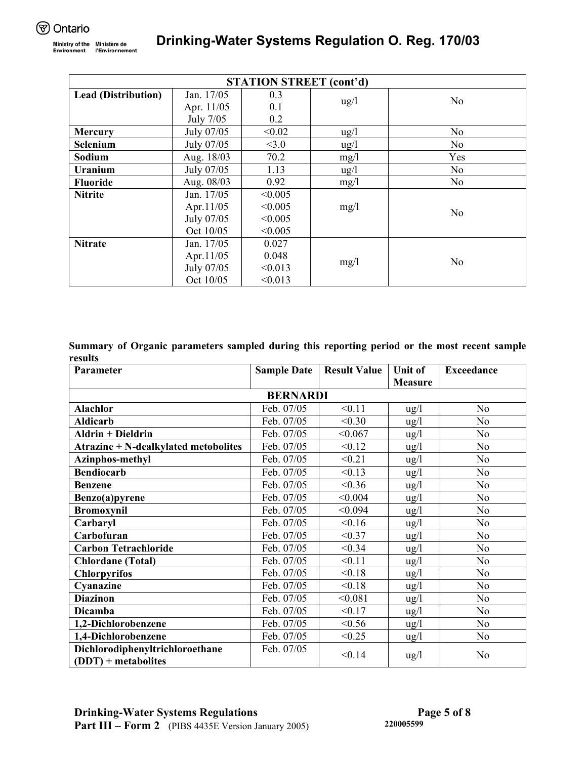| <b>STATION STREET (cont'd)</b> |              |         |                 |                |  |  |  |  |
|--------------------------------|--------------|---------|-----------------|----------------|--|--|--|--|
| <b>Lead (Distribution)</b>     | Jan. 17/05   | 0.3     |                 | N <sub>o</sub> |  |  |  |  |
|                                | Apr. 11/05   | 0.1     | $\frac{u}{g}$   |                |  |  |  |  |
|                                | July 7/05    | 0.2     |                 |                |  |  |  |  |
| <b>Mercury</b>                 | July 07/05   | < 0.02  | $\frac{u g}{l}$ | N <sub>o</sub> |  |  |  |  |
| Selenium                       | July 07/05   | <3.0    | $\frac{u g}{l}$ | N <sub>o</sub> |  |  |  |  |
| Sodium                         | Aug. 18/03   | 70.2    | mg/1            | Yes            |  |  |  |  |
| Uranium                        | July 07/05   | 1.13    | $\frac{u g}{l}$ | N <sub>o</sub> |  |  |  |  |
| <b>Fluoride</b>                | Aug. 08/03   | 0.92    | mg/l            | N <sub>o</sub> |  |  |  |  |
| <b>Nitrite</b>                 | Jan. 17/05   | < 0.005 |                 |                |  |  |  |  |
|                                | Apr. $11/05$ | < 0.005 | mg/l            | N <sub>0</sub> |  |  |  |  |
|                                | July 07/05   | < 0.005 |                 |                |  |  |  |  |
|                                | Oct 10/05    | < 0.005 |                 |                |  |  |  |  |
| <b>Nitrate</b>                 | Jan. 17/05   | 0.027   |                 |                |  |  |  |  |
|                                | Apr. $11/05$ | 0.048   |                 | N <sub>o</sub> |  |  |  |  |
|                                | July 07/05   | < 0.013 | mg/l            |                |  |  |  |  |
|                                | Oct 10/05    | < 0.013 |                 |                |  |  |  |  |

**Summary of Organic parameters sampled during this reporting period or the most recent sample results** 

| Parameter                                                | <b>Sample Date</b> | <b>Result Value</b> | <b>Unit of</b>  | <b>Exceedance</b> |  |  |  |  |  |
|----------------------------------------------------------|--------------------|---------------------|-----------------|-------------------|--|--|--|--|--|
|                                                          |                    |                     | <b>Measure</b>  |                   |  |  |  |  |  |
| <b>BERNARDI</b>                                          |                    |                     |                 |                   |  |  |  |  |  |
| <b>Alachlor</b>                                          | Feb. 07/05         | < 0.11              | ug/l            | N <sub>0</sub>    |  |  |  |  |  |
| <b>Aldicarb</b>                                          | Feb. 07/05         | < 0.30              | $\frac{u g}{l}$ | N <sub>0</sub>    |  |  |  |  |  |
| <b>Aldrin + Dieldrin</b>                                 | Feb. 07/05         | < 0.067             | $\frac{u g}{l}$ | N <sub>o</sub>    |  |  |  |  |  |
| <b>Atrazine + N-dealkylated metobolites</b>              | Feb. 07/05         | < 0.12              | $\frac{u g}{l}$ | N <sub>0</sub>    |  |  |  |  |  |
| Azinphos-methyl                                          | Feb. 07/05         | < 0.21              | $\frac{u g}{l}$ | N <sub>o</sub>    |  |  |  |  |  |
| <b>Bendiocarb</b>                                        | Feb. 07/05         | < 0.13              | $\frac{u g}{l}$ | N <sub>0</sub>    |  |  |  |  |  |
| <b>Benzene</b>                                           | Feb. 07/05         | < 0.36              | $\frac{u}{g}$   | N <sub>0</sub>    |  |  |  |  |  |
| Benzo(a)pyrene                                           | Feb. 07/05         | < 0.004             | $\frac{u g}{l}$ | N <sub>o</sub>    |  |  |  |  |  |
| <b>Bromoxynil</b>                                        | Feb. 07/05         | < 0.094             | ug/l            | N <sub>o</sub>    |  |  |  |  |  |
| Carbaryl                                                 | Feb. 07/05         | < 0.16              | $\frac{u g}{l}$ | N <sub>0</sub>    |  |  |  |  |  |
| Carbofuran                                               | Feb. 07/05         | < 0.37              | $\frac{u g}{l}$ | N <sub>0</sub>    |  |  |  |  |  |
| <b>Carbon Tetrachloride</b>                              | Feb. 07/05         | < 0.34              | $\frac{u g}{l}$ | N <sub>o</sub>    |  |  |  |  |  |
| <b>Chlordane</b> (Total)                                 | Feb. 07/05         | < 0.11              | $\frac{u g}{l}$ | N <sub>0</sub>    |  |  |  |  |  |
| <b>Chlorpyrifos</b>                                      | Feb. 07/05         | < 0.18              | $\frac{u g}{l}$ | N <sub>o</sub>    |  |  |  |  |  |
| Cyanazine                                                | Feb. 07/05         | < 0.18              | $\frac{u g}{l}$ | N <sub>o</sub>    |  |  |  |  |  |
| <b>Diazinon</b>                                          | Feb. 07/05         | < 0.081             | $\frac{u g}{l}$ | N <sub>o</sub>    |  |  |  |  |  |
| <b>Dicamba</b>                                           | Feb. 07/05         | < 0.17              | $\frac{u g}{l}$ | N <sub>o</sub>    |  |  |  |  |  |
| 1,2-Dichlorobenzene                                      | Feb. 07/05         | < 0.56              | $\frac{u g}{l}$ | No                |  |  |  |  |  |
| 1,4-Dichlorobenzene                                      | Feb. 07/05         | < 0.25              | $\frac{u g}{l}$ | N <sub>o</sub>    |  |  |  |  |  |
| Dichlorodiphenyltrichloroethane<br>$(DDT)$ + metabolites | Feb. 07/05         | < 0.14              | $\frac{u g}{l}$ | N <sub>0</sub>    |  |  |  |  |  |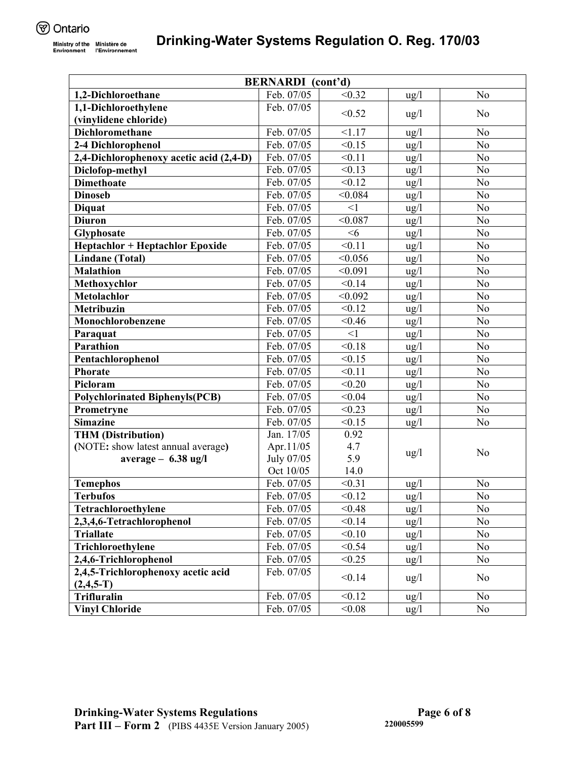| <b>BERNARDI</b> (cont'd)                |            |          |                 |                |
|-----------------------------------------|------------|----------|-----------------|----------------|
| 1,2-Dichloroethane                      | Feb. 07/05 | < 0.32   | $\frac{u g}{l}$ | N <sub>o</sub> |
| 1,1-Dichloroethylene                    | Feb. 07/05 |          |                 |                |
| (vinylidene chloride)                   |            | < 0.52   | $\frac{u g}{l}$ | N <sub>o</sub> |
| <b>Dichloromethane</b>                  | Feb. 07/05 | < 1.17   | $\frac{u}{g}$   | No             |
| 2-4 Dichlorophenol                      | Feb. 07/05 | < 0.15   | $\frac{u}{g}$   | N <sub>o</sub> |
| 2,4-Dichlorophenoxy acetic acid (2,4-D) | Feb. 07/05 | < 0.11   | $\frac{u g}{l}$ | N <sub>o</sub> |
| Diclofop-methyl                         | Feb. 07/05 | < 0.13   | $\frac{u g}{l}$ | N <sub>o</sub> |
| <b>Dimethoate</b>                       | Feb. 07/05 | < 0.12   | $\frac{u}{g}$   | N <sub>o</sub> |
| <b>Dinoseb</b>                          | Feb. 07/05 | < 0.084  | $\frac{u}{g}$   | N <sub>o</sub> |
| <b>Diquat</b>                           | Feb. 07/05 | <1       | $\frac{u g}{l}$ | N <sub>o</sub> |
| <b>Diuron</b>                           | Feb. 07/05 | < 0.087  | ug/l            | N <sub>o</sub> |
| Glyphosate                              | Feb. 07/05 | <6       | $\frac{u}{g}$   | N <sub>o</sub> |
| <b>Heptachlor + Heptachlor Epoxide</b>  | Feb. 07/05 | < 0.11   | $\frac{u g}{l}$ | N <sub>o</sub> |
| <b>Lindane</b> (Total)                  | Feb. 07/05 | < 0.056  | $\frac{u g}{l}$ | N <sub>o</sub> |
| <b>Malathion</b>                        | Feb. 07/05 | < 0.091  | $\frac{u g}{l}$ | N <sub>0</sub> |
| Methoxychlor                            | Feb. 07/05 | < 0.14   | $\frac{u g}{l}$ | N <sub>o</sub> |
| <b>Metolachlor</b>                      | Feb. 07/05 | < 0.092  | $\frac{u g}{l}$ | No             |
| Metribuzin                              | Feb. 07/05 | < 0.12   | $\frac{u g}{l}$ | N <sub>o</sub> |
| Monochlorobenzene                       | Feb. 07/05 | < 0.46   | $\frac{u g}{l}$ | N <sub>o</sub> |
| Paraquat                                | Feb. 07/05 | $\leq$ 1 | $\frac{u}{g}$   | N <sub>o</sub> |
| <b>Parathion</b>                        | Feb. 07/05 | < 0.18   | $\frac{u}{g}$   | N <sub>o</sub> |
| Pentachlorophenol                       | Feb. 07/05 | < 0.15   | $\frac{u}{g}$   | No             |
| <b>Phorate</b>                          | Feb. 07/05 | < 0.11   | ug/l            | N <sub>o</sub> |
| Picloram                                | Feb. 07/05 | < 0.20   | $\frac{u g}{l}$ | N <sub>o</sub> |
| <b>Polychlorinated Biphenyls(PCB)</b>   | Feb. 07/05 | < 0.04   | $\frac{u}{g}$   | N <sub>o</sub> |
| Prometryne                              | Feb. 07/05 | < 0.23   | $\frac{u g}{l}$ | N <sub>o</sub> |
| <b>Simazine</b>                         | Feb. 07/05 | < 0.15   | $\frac{u g}{l}$ | N <sub>0</sub> |
| <b>THM</b> (Distribution)               | Jan. 17/05 | 0.92     |                 |                |
| (NOTE: show latest annual average)      | Apr.11/05  | 4.7      |                 | N <sub>o</sub> |
| $average - 6.38$ ug/l                   | July 07/05 | 5.9      | $\frac{u g}{l}$ |                |
|                                         | Oct 10/05  | 14.0     |                 |                |
| <b>Temephos</b>                         | Feb. 07/05 | < 0.31   | $\frac{u g}{l}$ | N <sub>0</sub> |
| <b>Terbufos</b>                         | Feb. 07/05 | < 0.12   | $\frac{u}{g}$   | N <sub>o</sub> |
| Tetrachloroethylene                     | Feb. 07/05 | < 0.48   | $\frac{u}{g}$   | No             |
| 2,3,4,6-Tetrachlorophenol               | Feb. 07/05 | < 0.14   | $\frac{u g}{l}$ | N <sub>o</sub> |
| <b>Triallate</b>                        | Feb. 07/05 | < 0.10   | $\frac{u g}{l}$ | No             |
| Trichloroethylene                       | Feb. 07/05 | < 0.54   | $\frac{u g}{l}$ | N <sub>0</sub> |
| 2,4,6-Trichlorophenol                   | Feb. 07/05 | < 0.25   | $\frac{u}{g}$   | N <sub>o</sub> |
| 2,4,5-Trichlorophenoxy acetic acid      | Feb. 07/05 | < 0.14   | $\frac{u g}{l}$ | No             |
| $(2, 4, 5 - T)$                         |            |          |                 |                |
| Trifluralin                             | Feb. 07/05 | < 0.12   | $\frac{u g}{l}$ | N <sub>o</sub> |
| <b>Vinyl Chloride</b>                   | Feb. 07/05 | < 0.08   | $\frac{u g}{l}$ | N <sub>0</sub> |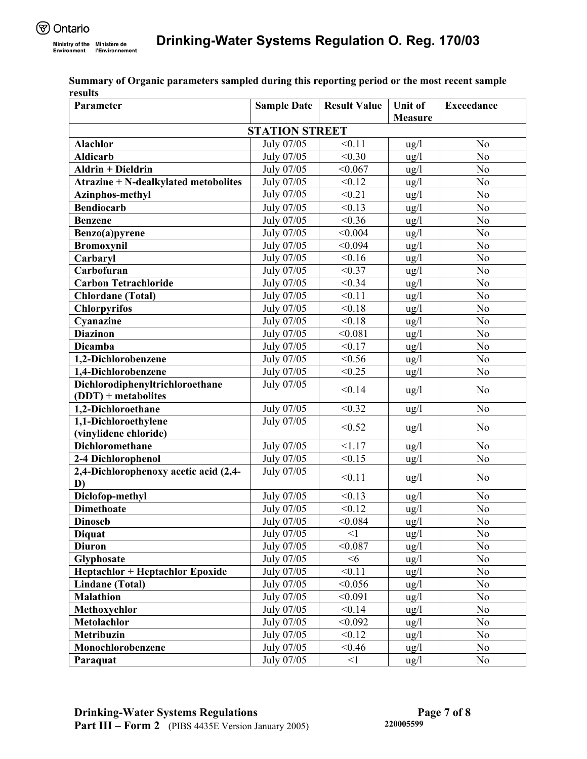**Exceedance** 

|                                             |                       |                    | <b>Measure</b>  |                 |
|---------------------------------------------|-----------------------|--------------------|-----------------|-----------------|
|                                             | <b>STATION STREET</b> |                    |                 |                 |
| <b>Alachlor</b>                             | July 07/05            | < 0.11             | $\frac{u g}{l}$ | N <sub>o</sub>  |
| <b>Aldicarb</b>                             | July 07/05            | < 0.30             | ug/l            | N <sub>0</sub>  |
| <b>Aldrin + Dieldrin</b>                    | July 07/05            | < 0.067            | $\frac{u}{g}$   | No              |
| <b>Atrazine + N-dealkylated metobolites</b> | July 07/05            | < 0.12             | $\frac{u g}{l}$ | No              |
| Azinphos-methyl                             | July 07/05            | < 0.21             | ug/l            | N <sub>o</sub>  |
| <b>Bendiocarb</b>                           | July 07/05            | < 0.13             | ug/l            | N <sub>o</sub>  |
| <b>Benzene</b>                              | July 07/05            | < 0.36             | ug/l            | N <sub>0</sub>  |
| Benzo(a)pyrene                              | July 07/05            | < 0.004            | ug/l            | N <sub>o</sub>  |
| <b>Bromoxynil</b>                           | July 07/05            | < 0.094            | $\frac{u}{g}$   | N <sub>o</sub>  |
| Carbaryl                                    | July 07/05            | < 0.16             | $\frac{u}{g}$   | N <sub>o</sub>  |
| Carbofuran                                  | July 07/05            | < 0.37             | $\frac{u}{g}$   | N <sub>o</sub>  |
| <b>Carbon Tetrachloride</b>                 | July 07/05            | < 0.34             | $\frac{u}{g}$   | N <sub>o</sub>  |
| <b>Chlordane</b> (Total)                    | July 07/05            | < 0.11             | $\frac{u}{g}$   | N <sub>0</sub>  |
| <b>Chlorpyrifos</b>                         | July 07/05            | < 0.18             | $\frac{u}{g}$   | N <sub>o</sub>  |
| Cyanazine                                   | July 07/05            | < 0.18             | $\frac{u}{g}$   | N <sub>0</sub>  |
| <b>Diazinon</b>                             | July 07/05            | < 0.081            | $\frac{u}{g}$   | $\overline{No}$ |
| <b>Dicamba</b>                              | July 07/05            | $\sqrt{0.17}$      | ug/l            | $\overline{No}$ |
| 1,2-Dichlorobenzene                         | July 07/05            | < 0.56             | ug/l            | N <sub>o</sub>  |
| 1,4-Dichlorobenzene                         | July 07/05            | $\overline{<}0.25$ | ug/l            | N <sub>o</sub>  |
| Dichlorodiphenyltrichloroethane             | July 07/05            | < 0.14             | $\frac{u g}{l}$ | No              |
| $(DDT)$ + metabolites                       |                       |                    |                 |                 |
| 1,2-Dichloroethane                          | July 07/05            | < 0.32             | $\frac{u}{g}$   | N <sub>o</sub>  |
| 1,1-Dichloroethylene                        | July 07/05            | < 0.52             | $\frac{u}{g}$   | N <sub>o</sub>  |
| (vinylidene chloride)                       |                       |                    |                 |                 |
| <b>Dichloromethane</b>                      | July $07\sqrt{05}$    | 1.17               | $\frac{u g}{l}$ | N <sub>o</sub>  |
| 2-4 Dichlorophenol                          | July 07/05            | $\overline{<}0.15$ | $\frac{u}{g}$   | No              |
| 2,4-Dichlorophenoxy acetic acid (2,4-<br>D) | July 07/05            | < 0.11             | $\frac{u g}{l}$ | N <sub>o</sub>  |
| Diclofop-methyl                             | July 07/05            | < 0.13             | $\frac{u}{g}$   | N <sub>o</sub>  |
| <b>Dimethoate</b>                           | July 07/05            | $\sqrt{0.12}$      | ug/l            | N <sub>o</sub>  |
| <b>Dinoseb</b>                              | July 07/05            | < 0.084            | $\frac{u g}{l}$ | N <sub>o</sub>  |
| <b>Diquat</b>                               | July 07/05            | $\leq$ 1           | ug/l            | $\overline{No}$ |
| <b>Diuron</b>                               | July 07/05            | < 0.087            | ug/l            | N <sub>o</sub>  |
| Glyphosate                                  | July 07/05            | <6                 | $\frac{u}{g}$   | N <sub>o</sub>  |
| <b>Heptachlor + Heptachlor Epoxide</b>      | July 07/05            | < 0.11             | $\frac{u}{g}$   | N <sub>o</sub>  |
| <b>Lindane</b> (Total)                      | July 07/05            | < 0.056            | $\frac{u}{g}$   | N <sub>o</sub>  |
| <b>Malathion</b>                            | July 07/05            | < 0.091            | $\frac{u g}{l}$ | No              |
| Methoxychlor                                | July 07/05            | < 0.14             | $\frac{u}{g}$   | N <sub>o</sub>  |

**Metolachlor** 1 July 07/05  $\leq 0.092$  ug/l No **Metribuzin** 10 July 07/05  $\leq 0.12$  ug/l No **Monochlorobenzene** <br>July 07/05 <0.46 ug/l No **Paraquat** 1 July 07/05 <1 ug/l No

**Summary of Organic parameters sampled during this reporting period or the most recent sample results Parameter Sample Date Result Value Unit of**